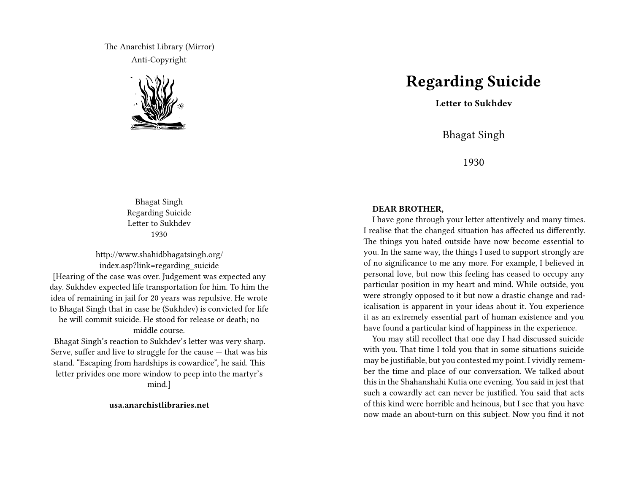The Anarchist Library (Mirror) Anti-Copyright



Bhagat Singh Regarding Suicide Letter to Sukhdev 1930

http://www.shahidbhagatsingh.org/ index.asp?link=regarding\_suicide [Hearing of the case was over. Judgement was expected any day. Sukhdev expected life transportation for him. To him the idea of remaining in jail for 20 years was repulsive. He wrote to Bhagat Singh that in case he (Sukhdev) is convicted for life he will commit suicide. He stood for release or death; no middle course.

Bhagat Singh's reaction to Sukhdev's letter was very sharp. Serve, suffer and live to struggle for the cause — that was his stand. "Escaping from hardships is cowardice", he said. This letter privides one more window to peep into the martyr's mind.]

## **usa.anarchistlibraries.net**

## **Regarding Suicide**

**Letter to Sukhdev**

Bhagat Singh

1930

## **DEAR BROTHER,**

I have gone through your letter attentively and many times. I realise that the changed situation has affected us differently. The things you hated outside have now become essential to you. In the same way, the things I used to support strongly are of no significance to me any more. For example, I believed in personal love, but now this feeling has ceased to occupy any particular position in my heart and mind. While outside, you were strongly opposed to it but now a drastic change and radicalisation is apparent in your ideas about it. You experience it as an extremely essential part of human existence and you have found a particular kind of happiness in the experience.

You may still recollect that one day I had discussed suicide with you. That time I told you that in some situations suicide may be justifiable, but you contested my point. I vividly remember the time and place of our conversation. We talked about this in the Shahanshahi Kutia one evening. You said in jest that such a cowardly act can never be justified. You said that acts of this kind were horrible and heinous, but I see that you have now made an about-turn on this subject. Now you find it not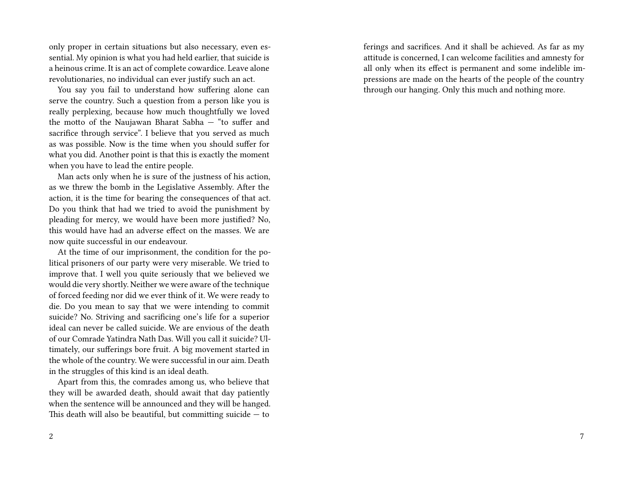only proper in certain situations but also necessary, even essential. My opinion is what you had held earlier, that suicide is a heinous crime. It is an act of complete cowardice. Leave alone revolutionaries, no individual can ever justify such an act.

You say you fail to understand how suffering alone can serve the country. Such a question from a person like you is really perplexing, because how much thoughtfully we loved the motto of the Naujawan Bharat Sabha — "to suffer and sacrifice through service". I believe that you served as much as was possible. Now is the time when you should suffer for what you did. Another point is that this is exactly the moment when you have to lead the entire people.

Man acts only when he is sure of the justness of his action, as we threw the bomb in the Legislative Assembly. After the action, it is the time for bearing the consequences of that act. Do you think that had we tried to avoid the punishment by pleading for mercy, we would have been more justified? No, this would have had an adverse effect on the masses. We are now quite successful in our endeavour.

At the time of our imprisonment, the condition for the political prisoners of our party were very miserable. We tried to improve that. I well you quite seriously that we believed we would die very shortly. Neither we were aware of the technique of forced feeding nor did we ever think of it. We were ready to die. Do you mean to say that we were intending to commit suicide? No. Striving and sacrificing one's life for a superior ideal can never be called suicide. We are envious of the death of our Comrade Yatindra Nath Das. Will you call it suicide? Ultimately, our sufferings bore fruit. A big movement started in the whole of the country. We were successful in our aim. Death in the struggles of this kind is an ideal death.

Apart from this, the comrades among us, who believe that they will be awarded death, should await that day patiently when the sentence will be announced and they will be hanged. This death will also be beautiful, but committing suicide  $-$  to

ferings and sacrifices. And it shall be achieved. As far as my attitude is concerned, I can welcome facilities and amnesty for all only when its effect is permanent and some indelible impressions are made on the hearts of the people of the country through our hanging. Only this much and nothing more.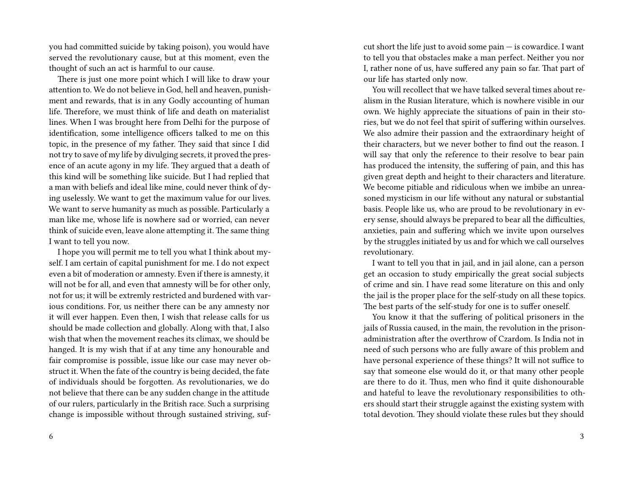you had committed suicide by taking poison), you would have served the revolutionary cause, but at this moment, even the thought of such an act is harmful to our cause.

There is just one more point which I will like to draw your attention to. We do not believe in God, hell and heaven, punishment and rewards, that is in any Godly accounting of human life. Therefore, we must think of life and death on materialist lines. When I was brought here from Delhi for the purpose of identification, some intelligence officers talked to me on this topic, in the presence of my father. They said that since I did not try to save of my life by divulging secrets, it proved the presence of an acute agony in my life. They argued that a death of this kind will be something like suicide. But I had replied that a man with beliefs and ideal like mine, could never think of dying uselessly. We want to get the maximum value for our lives. We want to serve humanity as much as possible. Particularly a man like me, whose life is nowhere sad or worried, can never think of suicide even, leave alone attempting it. The same thing I want to tell you now.

I hope you will permit me to tell you what I think about myself. I am certain of capital punishment for me. I do not expect even a bit of moderation or amnesty. Even if there is amnesty, it will not be for all, and even that amnesty will be for other only, not for us; it will be extremly restricted and burdened with various conditions. For, us neither there can be any amnesty nor it will ever happen. Even then, I wish that release calls for us should be made collection and globally. Along with that, I also wish that when the movement reaches its climax, we should be hanged. It is my wish that if at any time any honourable and fair compromise is possible, issue like our case may never obstruct it. When the fate of the country is being decided, the fate of individuals should be forgotten. As revolutionaries, we do not believe that there can be any sudden change in the attitude of our rulers, particularly in the British race. Such a surprising change is impossible without through sustained striving, sufcut short the life just to avoid some  $\text{pain} - \text{is}$  cowardice. I want to tell you that obstacles make a man perfect. Neither you nor I, rather none of us, have suffered any pain so far. That part of our life has started only now.

You will recollect that we have talked several times about realism in the Rusian literature, which is nowhere visible in our own. We highly appreciate the situations of pain in their stories, but we do not feel that spirit of suffering within ourselves. We also admire their passion and the extraordinary height of their characters, but we never bother to find out the reason. I will say that only the reference to their resolve to bear pain has produced the intensity, the suffering of pain, and this has given great depth and height to their characters and literature. We become pitiable and ridiculous when we imbibe an unreasoned mysticism in our life without any natural or substantial basis. People like us, who are proud to be revolutionary in every sense, should always be prepared to bear all the difficulties, anxieties, pain and suffering which we invite upon ourselves by the struggles initiated by us and for which we call ourselves revolutionary.

I want to tell you that in jail, and in jail alone, can a person get an occasion to study empirically the great social subjects of crime and sin. I have read some literature on this and only the jail is the proper place for the self-study on all these topics. The best parts of the self-study for one is to suffer oneself.

You know it that the suffering of political prisoners in the jails of Russia caused, in the main, the revolution in the prisonadministration after the overthrow of Czardom. Is India not in need of such persons who are fully aware of this problem and have personal experience of these things? It will not suffice to say that someone else would do it, or that many other people are there to do it. Thus, men who find it quite dishonourable and hateful to leave the revolutionary responsibilities to others should start their struggle against the existing system with total devotion. They should violate these rules but they should